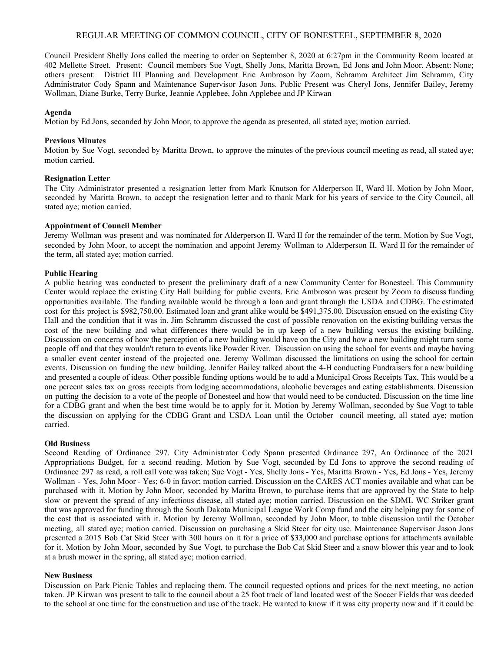# REGULAR MEETING OF COMMON COUNCIL, CITY OF BONESTEEL, SEPTEMBER 8, 2020

Council President Shelly Jons called the meeting to order on September 8, 2020 at 6:27pm in the Community Room located at 402 Mellette Street. Present: Council members Sue Vogt, Shelly Jons, Maritta Brown, Ed Jons and John Moor. Absent: None; others present: District III Planning and Development Eric Ambroson by Zoom, Schramm Architect Jim Schramm, City Administrator Cody Spann and Maintenance Supervisor Jason Jons. Public Present was Cheryl Jons, Jennifer Bailey, Jeremy Wollman, Diane Burke, Terry Burke, Jeannie Applebee, John Applebee and JP Kirwan

### **Agenda**

Motion by Ed Jons, seconded by John Moor, to approve the agenda as presented, all stated aye; motion carried.

### **Previous Minutes**

Motion by Sue Vogt, seconded by Maritta Brown, to approve the minutes of the previous council meeting as read, all stated aye; motion carried.

### **Resignation Letter**

The City Administrator presented a resignation letter from Mark Knutson for Alderperson II, Ward II. Motion by John Moor, seconded by Maritta Brown, to accept the resignation letter and to thank Mark for his years of service to the City Council, all stated aye; motion carried.

## **Appointment of Council Member**

Jeremy Wollman was present and was nominated for Alderperson II, Ward II for the remainder of the term. Motion by Sue Vogt, seconded by John Moor, to accept the nomination and appoint Jeremy Wollman to Alderperson II, Ward II for the remainder of the term, all stated aye; motion carried.

### **Public Hearing**

A public hearing was conducted to present the preliminary draft of a new Community Center for Bonesteel. This Community Center would replace the existing City Hall building for public events. Eric Ambroson was present by Zoom to discuss funding opportunities available. The funding available would be through a loan and grant through the USDA and CDBG. The estimated cost for this project is \$982,750.00. Estimated loan and grant alike would be \$491,375.00. Discussion ensued on the existing City Hall and the condition that it was in. Jim Schramm discussed the cost of possible renovation on the existing building versus the cost of the new building and what differences there would be in up keep of a new building versus the existing building. Discussion on concerns of how the perception of a new building would have on the City and how a new building might turn some people off and that they wouldn't return to events like Powder River. Discussion on using the school for events and maybe having a smaller event center instead of the projected one. Jeremy Wollman discussed the limitations on using the school for certain events. Discussion on funding the new building. Jennifer Bailey talked about the 4-H conducting Fundraisers for a new building and presented a couple of ideas. Other possible funding options would be to add a Municipal Gross Receipts Tax. This would be a one percent sales tax on gross receipts from lodging accommodations, alcoholic beverages and eating establishments. Discussion on putting the decision to a vote of the people of Bonesteel and how that would need to be conducted. Discussion on the time line for a CDBG grant and when the best time would be to apply for it. Motion by Jeremy Wollman, seconded by Sue Vogt to table the discussion on applying for the CDBG Grant and USDA Loan until the October council meeting, all stated aye; motion carried.

### **Old Business**

Second Reading of Ordinance 297. City Administrator Cody Spann presented Ordinance 297, An Ordinance of the 2021 Appropriations Budget, for a second reading. Motion by Sue Vogt, seconded by Ed Jons to approve the second reading of Ordinance 297 as read, a roll call vote was taken; Sue Vogt - Yes, Shelly Jons - Yes, Maritta Brown - Yes, Ed Jons - Yes, Jeremy Wollman - Yes, John Moor - Yes; 6-0 in favor; motion carried. Discussion on the CARES ACT monies available and what can be purchased with it. Motion by John Moor, seconded by Maritta Brown, to purchase items that are approved by the State to help slow or prevent the spread of any infectious disease, all stated aye; motion carried. Discussion on the SDML WC Striker grant that was approved for funding through the South Dakota Municipal League Work Comp fund and the city helping pay for some of the cost that is associated with it. Motion by Jeremy Wollman, seconded by John Moor, to table discussion until the October meeting, all stated aye; motion carried. Discussion on purchasing a Skid Steer for city use. Maintenance Supervisor Jason Jons presented a 2015 Bob Cat Skid Steer with 300 hours on it for a price of \$33,000 and purchase options for attachments available for it. Motion by John Moor, seconded by Sue Vogt, to purchase the Bob Cat Skid Steer and a snow blower this year and to look at a brush mower in the spring, all stated aye; motion carried.

#### **New Business**

Discussion on Park Picnic Tables and replacing them. The council requested options and prices for the next meeting, no action taken. JP Kirwan was present to talk to the council about a 25 foot track of land located west of the Soccer Fields that was deeded to the school at one time for the construction and use of the track. He wanted to know if it was city property now and if it could be